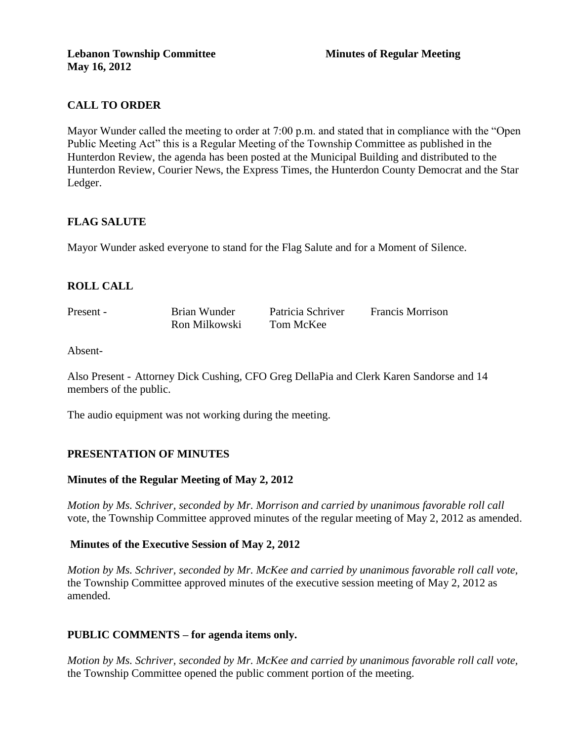# **CALL TO ORDER**

Mayor Wunder called the meeting to order at 7:00 p.m. and stated that in compliance with the "Open Public Meeting Act" this is a Regular Meeting of the Township Committee as published in the Hunterdon Review, the agenda has been posted at the Municipal Building and distributed to the Hunterdon Review, Courier News, the Express Times, the Hunterdon County Democrat and the Star Ledger.

## **FLAG SALUTE**

Mayor Wunder asked everyone to stand for the Flag Salute and for a Moment of Silence.

## **ROLL CALL**

| Present - | Brian Wunder  | Patricia Schriver | <b>Francis Morrison</b> |
|-----------|---------------|-------------------|-------------------------|
|           | Ron Milkowski | Tom McKee         |                         |

Absent-

Also Present - Attorney Dick Cushing, CFO Greg DellaPia and Clerk Karen Sandorse and 14 members of the public.

The audio equipment was not working during the meeting.

### **PRESENTATION OF MINUTES**

### **Minutes of the Regular Meeting of May 2, 2012**

*Motion by Ms. Schriver, seconded by Mr. Morrison and carried by unanimous favorable roll call*  vote, the Township Committee approved minutes of the regular meeting of May 2, 2012 as amended.

### **Minutes of the Executive Session of May 2, 2012**

*Motion by Ms. Schriver, seconded by Mr. McKee and carried by unanimous favorable roll call vote,* the Township Committee approved minutes of the executive session meeting of May 2, 2012 as amended.

## **PUBLIC COMMENTS – for agenda items only.**

*Motion by Ms. Schriver, seconded by Mr. McKee and carried by unanimous favorable roll call vote,* the Township Committee opened the public comment portion of the meeting.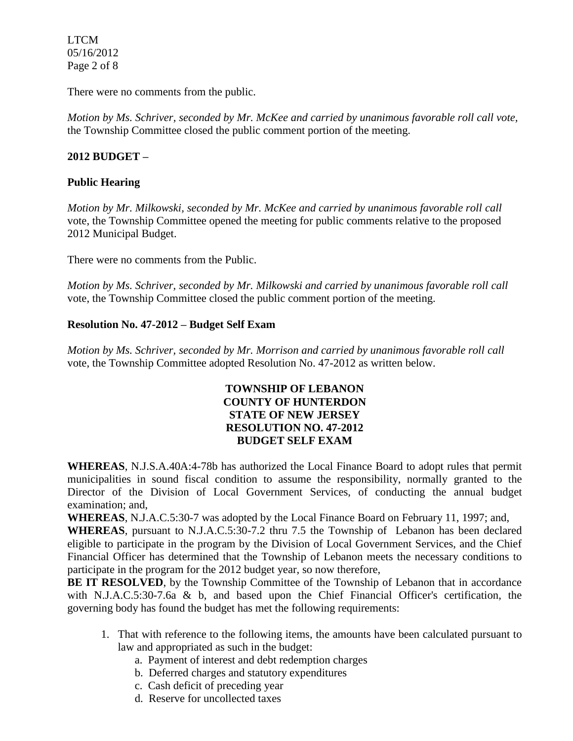LTCM 05/16/2012 Page 2 of 8

There were no comments from the public.

*Motion by Ms. Schriver, seconded by Mr. McKee and carried by unanimous favorable roll call vote,* the Township Committee closed the public comment portion of the meeting.

## **2012 BUDGET –**

## **Public Hearing**

*Motion by Mr. Milkowski, seconded by Mr. McKee and carried by unanimous favorable roll call*  vote, the Township Committee opened the meeting for public comments relative to the proposed 2012 Municipal Budget.

There were no comments from the Public.

*Motion by Ms. Schriver, seconded by Mr. Milkowski and carried by unanimous favorable roll call*  vote, the Township Committee closed the public comment portion of the meeting.

## **Resolution No. 47-2012 – Budget Self Exam**

*Motion by Ms. Schriver, seconded by Mr. Morrison and carried by unanimous favorable roll call*  vote, the Township Committee adopted Resolution No. 47-2012 as written below.

### **TOWNSHIP OF LEBANON COUNTY OF HUNTERDON STATE OF NEW JERSEY RESOLUTION NO. 47-2012 BUDGET SELF EXAM**

**WHEREAS**, N.J.S.A.40A:4-78b has authorized the Local Finance Board to adopt rules that permit municipalities in sound fiscal condition to assume the responsibility, normally granted to the Director of the Division of Local Government Services, of conducting the annual budget examination; and,

**WHEREAS**, N.J.A.C.5:30-7 was adopted by the Local Finance Board on February 11, 1997; and,

**WHEREAS**, pursuant to N.J.A.C.5:30-7.2 thru 7.5 the Township of Lebanon has been declared eligible to participate in the program by the Division of Local Government Services, and the Chief Financial Officer has determined that the Township of Lebanon meets the necessary conditions to participate in the program for the 2012 budget year, so now therefore,

**BE IT RESOLVED**, by the Township Committee of the Township of Lebanon that in accordance with N.J.A.C.5:30-7.6a & b, and based upon the Chief Financial Officer's certification, the governing body has found the budget has met the following requirements:

- 1. That with reference to the following items, the amounts have been calculated pursuant to law and appropriated as such in the budget:
	- a. Payment of interest and debt redemption charges
	- b. Deferred charges and statutory expenditures
	- c. Cash deficit of preceding year
	- d. Reserve for uncollected taxes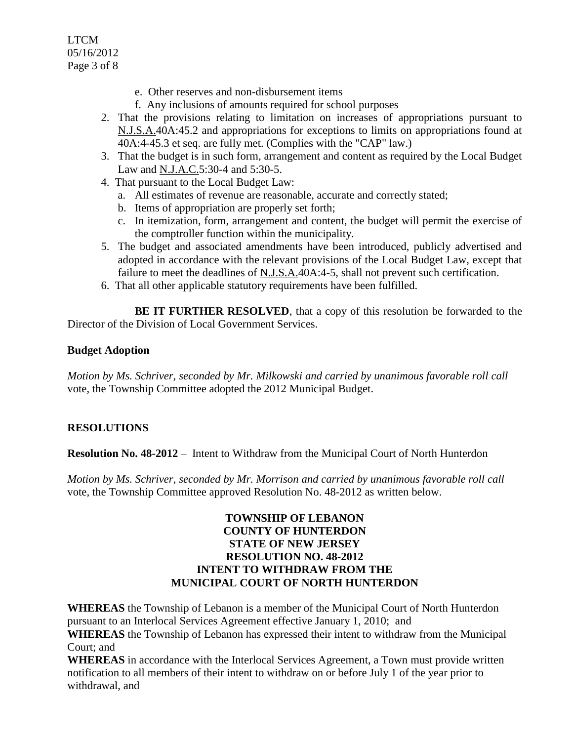LTCM 05/16/2012 Page 3 of 8

- e. Other reserves and non-disbursement items
- f. Any inclusions of amounts required for school purposes
- 2. That the provisions relating to limitation on increases of appropriations pursuant to N.J.S.A.40A:45.2 and appropriations for exceptions to limits on appropriations found at 40A:4-45.3 et seq. are fully met. (Complies with the "CAP" law.)
- 3. That the budget is in such form, arrangement and content as required by the Local Budget Law and N.J.A.C.5:30-4 and 5:30-5.
- 4. That pursuant to the Local Budget Law:
	- a. All estimates of revenue are reasonable, accurate and correctly stated;
	- b. Items of appropriation are properly set forth;
	- c. In itemization, form, arrangement and content, the budget will permit the exercise of the comptroller function within the municipality.
- 5. The budget and associated amendments have been introduced, publicly advertised and adopted in accordance with the relevant provisions of the Local Budget Law, except that failure to meet the deadlines of N.J.S.A.40A:4-5, shall not prevent such certification.
- 6. That all other applicable statutory requirements have been fulfilled.

**BE IT FURTHER RESOLVED**, that a copy of this resolution be forwarded to the Director of the Division of Local Government Services.

### **Budget Adoption**

*Motion by Ms. Schriver, seconded by Mr. Milkowski and carried by unanimous favorable roll call*  vote, the Township Committee adopted the 2012 Municipal Budget.

## **RESOLUTIONS**

**Resolution No. 48-2012** – Intent to Withdraw from the Municipal Court of North Hunterdon

*Motion by Ms. Schriver, seconded by Mr. Morrison and carried by unanimous favorable roll call*  vote, the Township Committee approved Resolution No. 48-2012 as written below.

### **TOWNSHIP OF LEBANON COUNTY OF HUNTERDON STATE OF NEW JERSEY RESOLUTION NO. 48-2012 INTENT TO WITHDRAW FROM THE MUNICIPAL COURT OF NORTH HUNTERDON**

**WHEREAS** the Township of Lebanon is a member of the Municipal Court of North Hunterdon pursuant to an Interlocal Services Agreement effective January 1, 2010; and

**WHEREAS** the Township of Lebanon has expressed their intent to withdraw from the Municipal Court; and

**WHEREAS** in accordance with the Interlocal Services Agreement, a Town must provide written notification to all members of their intent to withdraw on or before July 1 of the year prior to withdrawal, and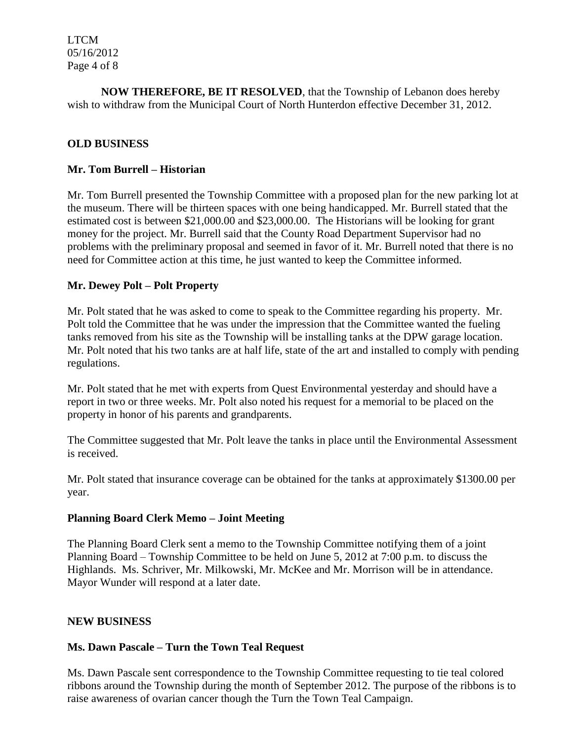LTCM 05/16/2012 Page 4 of 8

**NOW THEREFORE, BE IT RESOLVED**, that the Township of Lebanon does hereby wish to withdraw from the Municipal Court of North Hunterdon effective December 31, 2012.

### **OLD BUSINESS**

### **Mr. Tom Burrell – Historian**

Mr. Tom Burrell presented the Township Committee with a proposed plan for the new parking lot at the museum. There will be thirteen spaces with one being handicapped. Mr. Burrell stated that the estimated cost is between \$21,000.00 and \$23,000.00. The Historians will be looking for grant money for the project. Mr. Burrell said that the County Road Department Supervisor had no problems with the preliminary proposal and seemed in favor of it. Mr. Burrell noted that there is no need for Committee action at this time, he just wanted to keep the Committee informed.

#### **Mr. Dewey Polt – Polt Property**

Mr. Polt stated that he was asked to come to speak to the Committee regarding his property. Mr. Polt told the Committee that he was under the impression that the Committee wanted the fueling tanks removed from his site as the Township will be installing tanks at the DPW garage location. Mr. Polt noted that his two tanks are at half life, state of the art and installed to comply with pending regulations.

Mr. Polt stated that he met with experts from Quest Environmental yesterday and should have a report in two or three weeks. Mr. Polt also noted his request for a memorial to be placed on the property in honor of his parents and grandparents.

The Committee suggested that Mr. Polt leave the tanks in place until the Environmental Assessment is received.

Mr. Polt stated that insurance coverage can be obtained for the tanks at approximately \$1300.00 per year.

#### **Planning Board Clerk Memo – Joint Meeting**

The Planning Board Clerk sent a memo to the Township Committee notifying them of a joint Planning Board – Township Committee to be held on June 5, 2012 at 7:00 p.m. to discuss the Highlands. Ms. Schriver, Mr. Milkowski, Mr. McKee and Mr. Morrison will be in attendance. Mayor Wunder will respond at a later date.

### **NEW BUSINESS**

### **Ms. Dawn Pascale – Turn the Town Teal Request**

Ms. Dawn Pascale sent correspondence to the Township Committee requesting to tie teal colored ribbons around the Township during the month of September 2012. The purpose of the ribbons is to raise awareness of ovarian cancer though the Turn the Town Teal Campaign.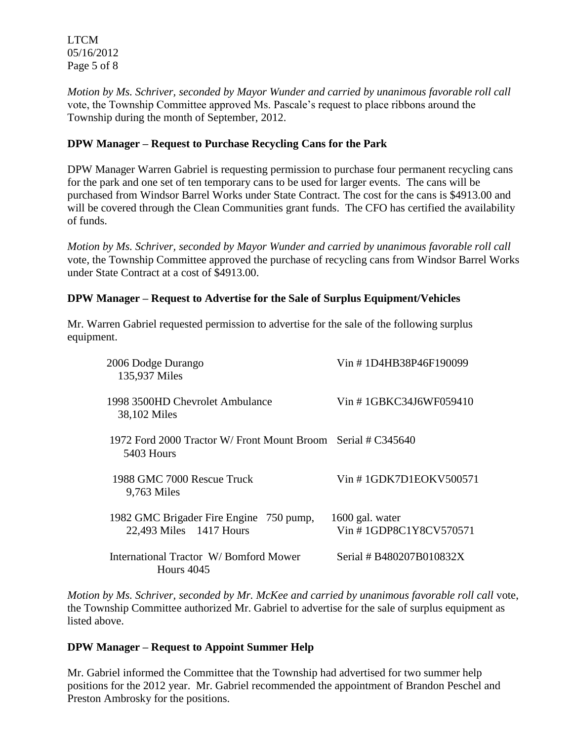LTCM 05/16/2012 Page 5 of 8

*Motion by Ms. Schriver, seconded by Mayor Wunder and carried by unanimous favorable roll call*  vote, the Township Committee approved Ms. Pascale's request to place ribbons around the Township during the month of September, 2012.

# **DPW Manager – Request to Purchase Recycling Cans for the Park**

DPW Manager Warren Gabriel is requesting permission to purchase four permanent recycling cans for the park and one set of ten temporary cans to be used for larger events. The cans will be purchased from Windsor Barrel Works under State Contract. The cost for the cans is \$4913.00 and will be covered through the Clean Communities grant funds. The CFO has certified the availability of funds.

*Motion by Ms. Schriver, seconded by Mayor Wunder and carried by unanimous favorable roll call*  vote, the Township Committee approved the purchase of recycling cans from Windsor Barrel Works under State Contract at a cost of \$4913.00.

# **DPW Manager – Request to Advertise for the Sale of Surplus Equipment/Vehicles**

Mr. Warren Gabriel requested permission to advertise for the sale of the following surplus equipment.

| 2006 Dodge Durango<br>135,937 Miles                                        | Vin #1D4HB38P46F190099                    |
|----------------------------------------------------------------------------|-------------------------------------------|
| 1998 3500HD Chevrolet Ambulance<br>38,102 Miles                            | Vin #1GBKC34J6WF059410                    |
| 1972 Ford 2000 Tractor W/ Front Mount Broom Serial # C345640<br>5403 Hours |                                           |
| 1988 GMC 7000 Rescue Truck<br>9,763 Miles                                  | Vin #1GDK7D1EOKV500571                    |
| 1982 GMC Brigader Fire Engine 750 pump,<br>22,493 Miles 1417 Hours         | 1600 gal. water<br>Vin #1GDP8C1Y8CV570571 |
| International Tractor W/Bomford Mower<br><b>Hours</b> 4045                 | Serial # B480207B010832X                  |

*Motion by Ms. Schriver, seconded by Mr. McKee and carried by unanimous favorable roll call* vote, the Township Committee authorized Mr. Gabriel to advertise for the sale of surplus equipment as listed above.

## **DPW Manager – Request to Appoint Summer Help**

Mr. Gabriel informed the Committee that the Township had advertised for two summer help positions for the 2012 year. Mr. Gabriel recommended the appointment of Brandon Peschel and Preston Ambrosky for the positions.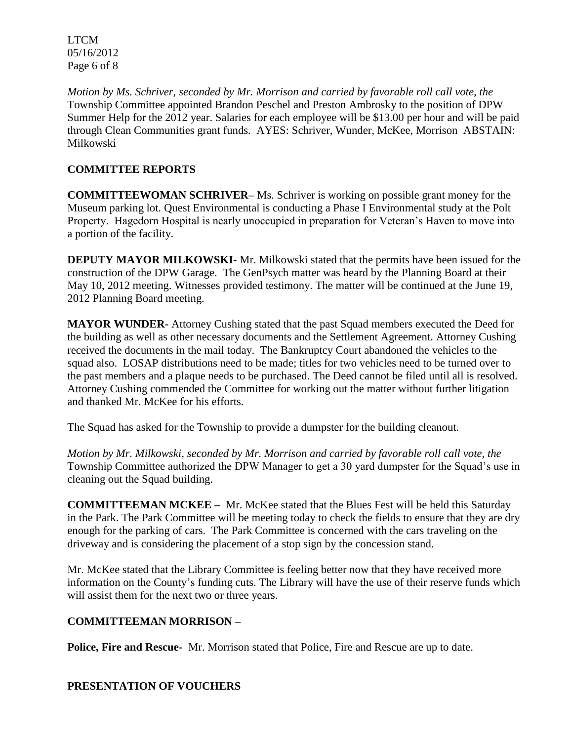LTCM 05/16/2012 Page 6 of 8

*Motion by Ms. Schriver, seconded by Mr. Morrison and carried by favorable roll call vote, the* Township Committee appointed Brandon Peschel and Preston Ambrosky to the position of DPW Summer Help for the 2012 year. Salaries for each employee will be \$13.00 per hour and will be paid through Clean Communities grant funds. AYES: Schriver, Wunder, McKee, Morrison ABSTAIN: Milkowski

# **COMMITTEE REPORTS**

**COMMITTEEWOMAN SCHRIVER–** Ms. Schriver is working on possible grant money for the Museum parking lot. Quest Environmental is conducting a Phase I Environmental study at the Polt Property. Hagedorn Hospital is nearly unoccupied in preparation for Veteran's Haven to move into a portion of the facility.

**DEPUTY MAYOR MILKOWSKI-** Mr. Milkowski stated that the permits have been issued for the construction of the DPW Garage. The GenPsych matter was heard by the Planning Board at their May 10, 2012 meeting. Witnesses provided testimony. The matter will be continued at the June 19, 2012 Planning Board meeting.

**MAYOR WUNDER-** Attorney Cushing stated that the past Squad members executed the Deed for the building as well as other necessary documents and the Settlement Agreement. Attorney Cushing received the documents in the mail today. The Bankruptcy Court abandoned the vehicles to the squad also. LOSAP distributions need to be made; titles for two vehicles need to be turned over to the past members and a plaque needs to be purchased. The Deed cannot be filed until all is resolved. Attorney Cushing commended the Committee for working out the matter without further litigation and thanked Mr. McKee for his efforts.

The Squad has asked for the Township to provide a dumpster for the building cleanout.

*Motion by Mr. Milkowski, seconded by Mr. Morrison and carried by favorable roll call vote, the* Township Committee authorized the DPW Manager to get a 30 yard dumpster for the Squad's use in cleaning out the Squad building.

**COMMITTEEMAN MCKEE –** Mr. McKee stated that the Blues Fest will be held this Saturday in the Park. The Park Committee will be meeting today to check the fields to ensure that they are dry enough for the parking of cars. The Park Committee is concerned with the cars traveling on the driveway and is considering the placement of a stop sign by the concession stand.

Mr. McKee stated that the Library Committee is feeling better now that they have received more information on the County's funding cuts. The Library will have the use of their reserve funds which will assist them for the next two or three years.

## **COMMITTEEMAN MORRISON –**

**Police, Fire and Rescue-** Mr. Morrison stated that Police, Fire and Rescue are up to date.

## **PRESENTATION OF VOUCHERS**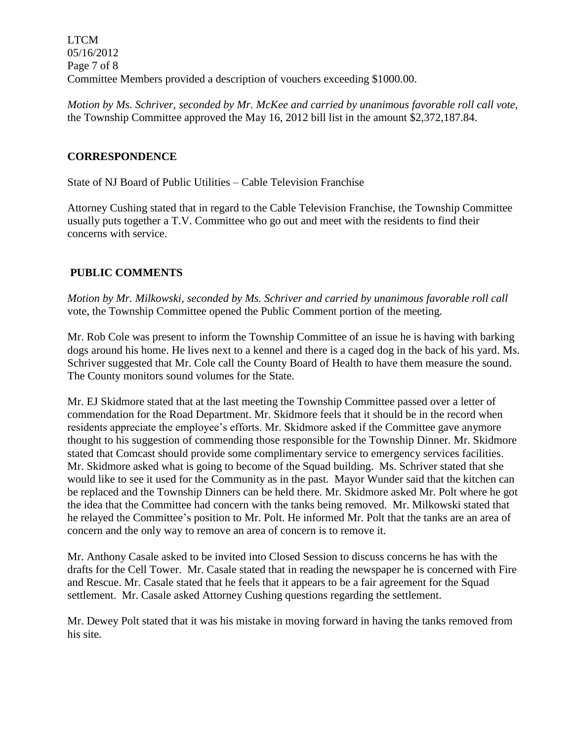LTCM 05/16/2012 Page 7 of 8 Committee Members provided a description of vouchers exceeding \$1000.00.

*Motion by Ms. Schriver, seconded by Mr. McKee and carried by unanimous favorable roll call vote,* the Township Committee approved the May 16, 2012 bill list in the amount \$2,372,187.84.

# **CORRESPONDENCE**

State of NJ Board of Public Utilities – Cable Television Franchise

Attorney Cushing stated that in regard to the Cable Television Franchise, the Township Committee usually puts together a T.V. Committee who go out and meet with the residents to find their concerns with service.

# **PUBLIC COMMENTS**

*Motion by Mr. Milkowski, seconded by Ms. Schriver and carried by unanimous favorable roll call*  vote, the Township Committee opened the Public Comment portion of the meeting.

Mr. Rob Cole was present to inform the Township Committee of an issue he is having with barking dogs around his home. He lives next to a kennel and there is a caged dog in the back of his yard. Ms. Schriver suggested that Mr. Cole call the County Board of Health to have them measure the sound. The County monitors sound volumes for the State.

Mr. EJ Skidmore stated that at the last meeting the Township Committee passed over a letter of commendation for the Road Department. Mr. Skidmore feels that it should be in the record when residents appreciate the employee's efforts. Mr. Skidmore asked if the Committee gave anymore thought to his suggestion of commending those responsible for the Township Dinner. Mr. Skidmore stated that Comcast should provide some complimentary service to emergency services facilities. Mr. Skidmore asked what is going to become of the Squad building. Ms. Schriver stated that she would like to see it used for the Community as in the past. Mayor Wunder said that the kitchen can be replaced and the Township Dinners can be held there. Mr. Skidmore asked Mr. Polt where he got the idea that the Committee had concern with the tanks being removed. Mr. Milkowski stated that he relayed the Committee's position to Mr. Polt. He informed Mr. Polt that the tanks are an area of concern and the only way to remove an area of concern is to remove it.

Mr. Anthony Casale asked to be invited into Closed Session to discuss concerns he has with the drafts for the Cell Tower. Mr. Casale stated that in reading the newspaper he is concerned with Fire and Rescue. Mr. Casale stated that he feels that it appears to be a fair agreement for the Squad settlement. Mr. Casale asked Attorney Cushing questions regarding the settlement.

Mr. Dewey Polt stated that it was his mistake in moving forward in having the tanks removed from his site.